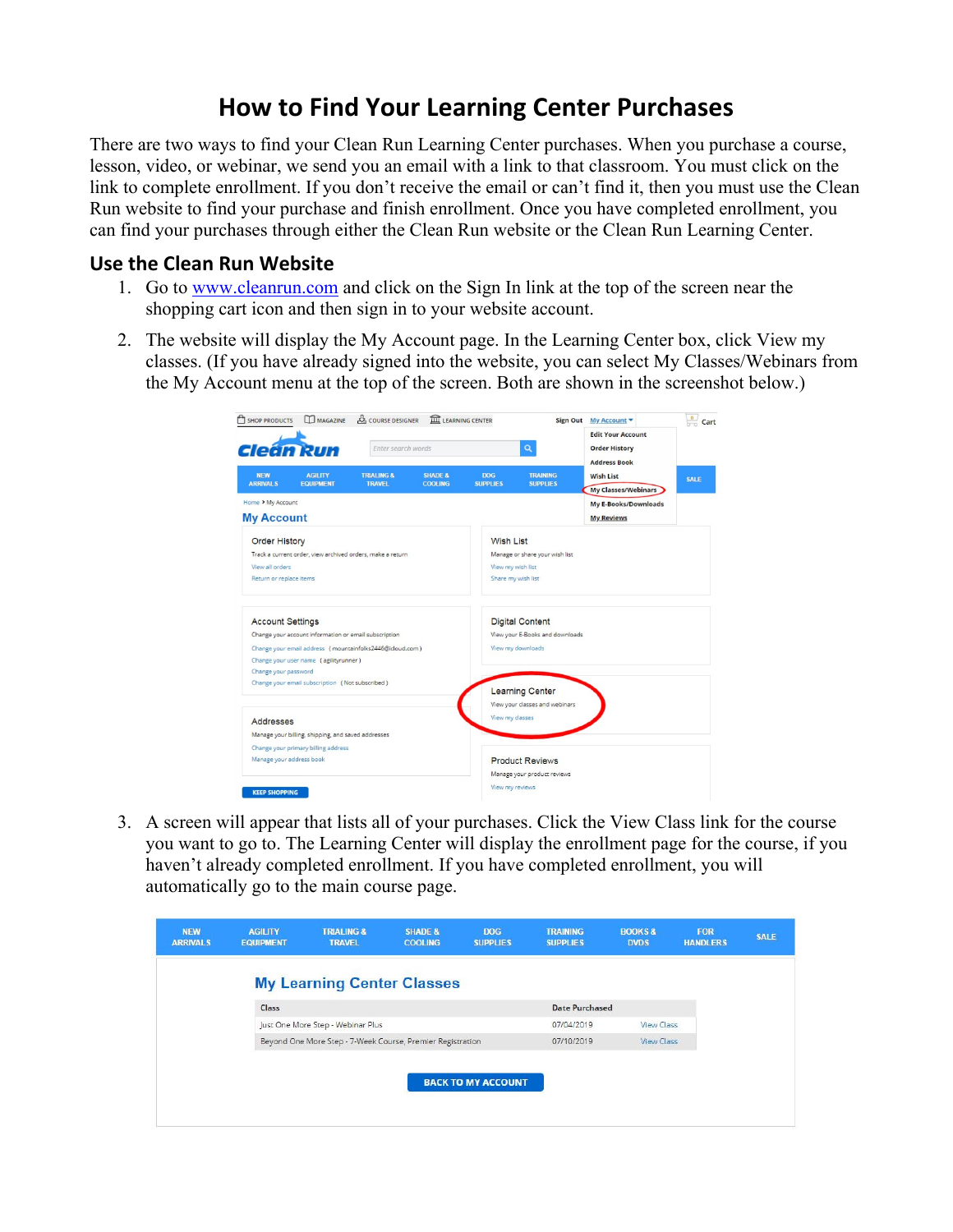## **How to Find Your Learning Center Purchases**

There are two ways to find your Clean Run Learning Center purchases. When you purchase a course, lesson, video, or webinar, we send you an email with a link to that classroom. You must click on the link to complete enrollment. If you don't receive the email or can't find it, then you must use the Clean Run website to find your purchase and finish enrollment. Once you have completed enrollment, you can find your purchases through either the Clean Run website or the Clean Run Learning Center.

## **Use the Clean Run Website**

- 1. Go to www.cleanrun.com and click on the Sign In link at the top of the screen near the shopping cart icon and then sign in to your website account.
- 2. The website will display the My Account page. In the Learning Center box, click View my classes. (If you have already signed into the website, you can select My Classes/Webinars from the My Account menu at the top of the screen. Both are shown in the screenshot below.)

| SHOP PRODUCTS                                              | MAGAZINE                                              | LEARNING CENTER<br><b>AS COURSE DESIGNER</b>             |                                      |                               |                                    | $\frac{0}{2}$<br>Sign Out My Account                                    |             |  |  |  |
|------------------------------------------------------------|-------------------------------------------------------|----------------------------------------------------------|--------------------------------------|-------------------------------|------------------------------------|-------------------------------------------------------------------------|-------------|--|--|--|
|                                                            | <b>Cleán Run</b>                                      |                                                          | Enter search words                   |                               |                                    | <b>Edit Your Account</b><br><b>Order History</b><br><b>Address Book</b> |             |  |  |  |
| <b>NEW</b><br><b>ARRIVALS</b>                              | <b>AGILITY</b><br><b>EQUIPMENT</b>                    | <b>TRIALING &amp;</b><br><b>TRAVEL</b>                   | <b>SHADE &amp;</b><br><b>COOLING</b> | <b>DOG</b><br><b>SUPPLIES</b> | <b>TRAINING</b><br><b>SUPPLIES</b> | <b>Wish List</b>                                                        | <b>SALE</b> |  |  |  |
| Home > My Account                                          |                                                       |                                                          |                                      |                               |                                    | <b>My Classes/Webinars</b>                                              |             |  |  |  |
| <b>My Account</b>                                          |                                                       |                                                          |                                      |                               |                                    | <b>My E-Books/Downloads</b><br><b>My Reviews</b>                        |             |  |  |  |
| <b>Order History</b>                                       |                                                       |                                                          |                                      |                               | <b>Wish List</b>                   |                                                                         |             |  |  |  |
| Track a current order, view archived orders, make a return |                                                       |                                                          |                                      |                               | Manage or share your wish list     |                                                                         |             |  |  |  |
| View all orders                                            |                                                       |                                                          |                                      |                               | View my wish list                  |                                                                         |             |  |  |  |
| Return or replace items                                    |                                                       |                                                          |                                      | Share my wish list            |                                    |                                                                         |             |  |  |  |
| <b>Account Settings</b>                                    |                                                       |                                                          |                                      |                               | <b>Digital Content</b>             |                                                                         |             |  |  |  |
|                                                            | Change your account information or email subscription |                                                          |                                      |                               | View your E-Books and downloads    |                                                                         |             |  |  |  |
|                                                            |                                                       | Change your email address (mountainfolks2446@icloud.com) |                                      |                               | View my downloads                  |                                                                         |             |  |  |  |
| Change your password                                       | Change your user name (agilityrunner)                 |                                                          |                                      |                               |                                    |                                                                         |             |  |  |  |
|                                                            | Change your email subscription (Not subscribed)       |                                                          |                                      |                               |                                    |                                                                         |             |  |  |  |
|                                                            |                                                       |                                                          |                                      |                               | <b>Learning Center</b>             |                                                                         |             |  |  |  |
|                                                            |                                                       |                                                          |                                      |                               | View your classes and webinars     |                                                                         |             |  |  |  |
| Addresses                                                  |                                                       |                                                          |                                      | View my classes               |                                    |                                                                         |             |  |  |  |
|                                                            | Manage your billing, shipping, and saved addresses    |                                                          |                                      |                               |                                    |                                                                         |             |  |  |  |
|                                                            | Change your primary billing address                   |                                                          |                                      |                               |                                    |                                                                         |             |  |  |  |
| Manage your address book                                   |                                                       |                                                          |                                      |                               | <b>Product Reviews</b>             |                                                                         |             |  |  |  |
|                                                            |                                                       |                                                          |                                      |                               | Manage your product reviews        |                                                                         |             |  |  |  |
| <b>KEEP SHOPPING</b>                                       |                                                       |                                                          |                                      | View my reviews               |                                    |                                                                         |             |  |  |  |

3. A screen will appear that lists all of your purchases. Click the View Class link for the course you want to go to. The Learning Center will display the enrollment page for the course, if you haven't already completed enrollment. If you have completed enrollment, you will automatically go to the main course page.

| <b>NEW</b><br><b>ARRIVALS</b> | <b>AGILITY</b><br><b>EQUIPMENT</b> | <b>TRIALING &amp;</b><br><b>TRAVEL</b>                     | <b>SHADE &amp;</b><br><b>COOLING</b> | <b>DOG</b><br><b>SUPPLIES</b> | <b>TRAINING</b><br><b>SUPPLIES</b> | <b>BOOKS&amp;</b><br><b>DVDS</b> | FOR<br><b>HANDLERS</b> | <b>SALE</b> |
|-------------------------------|------------------------------------|------------------------------------------------------------|--------------------------------------|-------------------------------|------------------------------------|----------------------------------|------------------------|-------------|
|                               |                                    | <b>My Learning Center Classes</b>                          |                                      |                               |                                    |                                  |                        |             |
|                               | Class                              |                                                            |                                      |                               | <b>Date Purchased</b>              |                                  |                        |             |
|                               |                                    | Just One More Step - Webinar Plus                          |                                      |                               | 07/04/2019                         | View Class                       |                        |             |
|                               |                                    | Beyond One More Step - 7-Week Course, Premier Registration |                                      |                               | 07/10/2019                         | View Class                       |                        |             |
|                               |                                    |                                                            |                                      |                               |                                    |                                  |                        |             |
|                               |                                    |                                                            |                                      | <b>BACK TO MY ACCOUNT</b>     |                                    |                                  |                        |             |
|                               |                                    |                                                            |                                      |                               |                                    |                                  |                        |             |
|                               |                                    |                                                            |                                      |                               |                                    |                                  |                        |             |